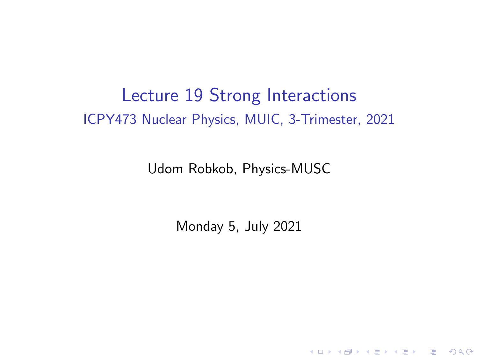## Lecture 19 Strong Interactions ICPY473 Nuclear Physics, MUIC, 3-Trimester, 2021

Udom Robkob, Physics-MUSC

Monday 5, July 2021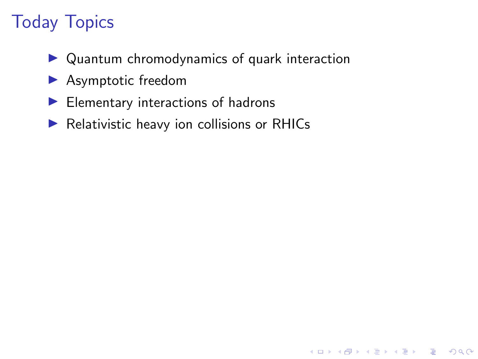# Today Topics

 $\triangleright$  Quantum chromodynamics of quark interaction

K ロ ▶ K 個 ▶ K 할 ▶ K 할 ▶ 이 할 → 9 Q Q →

- $\blacktriangleright$  Asymptotic freedom
- $\blacktriangleright$  Elementary interactions of hadrons
- $\blacktriangleright$  Relativistic heavy ion collisions or RHICs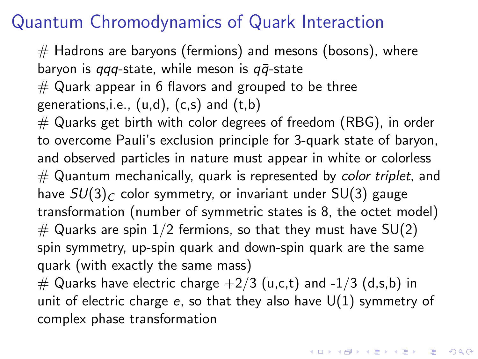## Quantum Chromodynamics of Quark Interaction

 $\#$  Hadrons are baryons (fermions) and mesons (bosons), where baryon is  $qqq$ -state, while meson is  $q\bar{q}$ -state  $#$  Quark appear in 6 flavors and grouped to be three generations, i.e.,  $(u,d)$ ,  $(c,s)$  and  $(t,b)$  $\#$  Quarks get birth with color degrees of freedom (RBG), in order to overcome Pauli's exclusion principle for 3-quark state of baryon, and observed particles in nature must appear in white or colorless  $#$  Quantum mechanically, quark is represented by *color triplet*, and have  $SU(3)_C$  color symmetry, or invariant under SU(3) gauge transformation (number of symmetric states is 8, the octet model)  $#$  Quarks are spin 1/2 fermions, so that they must have SU(2) spin symmetry, up-spin quark and down-spin quark are the same quark (with exactly the same mass) # Quarks have electric charge  $+2/3$  (u,c,t) and  $-1/3$  (d,s,b) in unit of electric charge  $e$ , so that they also have  $U(1)$  symmetry of

complex phase transformation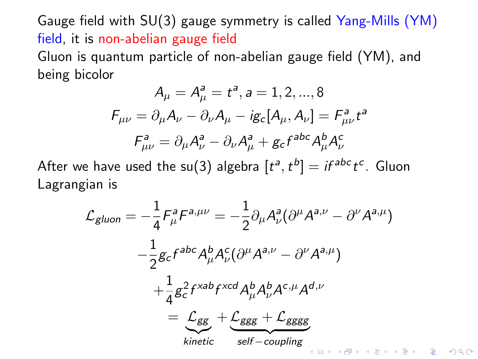Gauge field with SU(3) gauge symmetry is called Yang-Mills (YM) field, it is non-abelian gauge field Gluon is quantum particle of non-abelian gauge field (YM), and being bicolor

$$
A_{\mu} = A_{\mu}^{a} = t^{a}, a = 1, 2, ..., 8
$$

$$
F_{\mu\nu} = \partial_{\mu}A_{\nu} - \partial_{\nu}A_{\mu} - ig_{c}[A_{\mu}, A_{\nu}] = F_{\mu\nu}^{a}t^{a}
$$

$$
F_{\mu\nu}^{a} = \partial_{\mu}A_{\nu}^{a} - \partial_{\nu}A_{\mu}^{a} + g_{c}f^{abc}A_{\mu}^{b}A_{\nu}^{c}
$$

After we have used the su(3) algebra  $[t^a,t^b]=i f^{abc} t^c$ . Gluon Lagrangian is

$$
\mathcal{L}_{gluon} = -\frac{1}{4} F_{\mu}^{a} F^{a,\mu\nu} = -\frac{1}{2} \partial_{\mu} A_{\nu}^{a} (\partial^{\mu} A^{a,\nu} - \partial^{\nu} A^{a,\mu})
$$

$$
-\frac{1}{2} g_{c} f^{abc} A_{\mu}^{b} A_{\nu}^{c} (\partial^{\mu} A^{a,\nu} - \partial^{\nu} A^{a,\mu})
$$

$$
+\frac{1}{4} g_{c}^{2} f^{xab} f^{xcd} A_{\mu}^{b} A_{\nu}^{b} A^{c,\mu} A^{d,\nu}
$$

$$
= \underbrace{\mathcal{L}_{ggg}}_{kinetic} + \underbrace{\mathcal{L}_{ggg} + \mathcal{L}_{ggggg}}_{self-coupling}
$$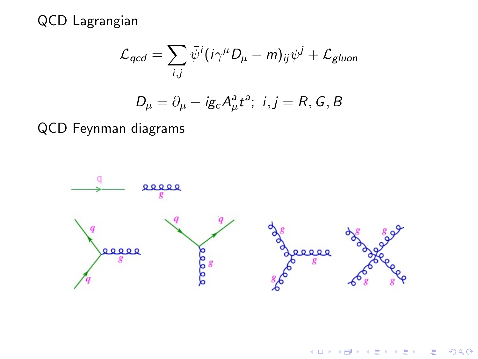QCD Lagrangian

$$
\mathcal{L}_{qcd} = \sum_{i,j} \bar{\psi}^i (i\gamma^\mu D_\mu - m)_{ij} \psi^j + \mathcal{L}_{gluon}
$$

$$
D_{\mu} = \partial_{\mu} - ig_c A_{\mu}^{a} t^{a}; \ i, j = R, G, B
$$

QCD Feynman diagrams

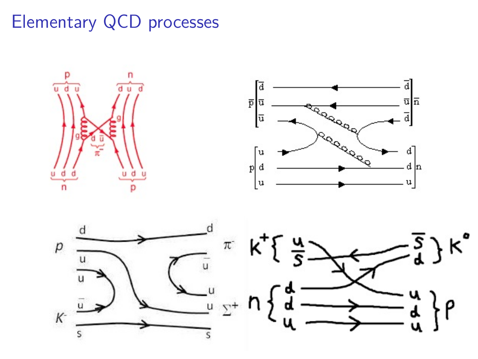## Elementary QCD processes

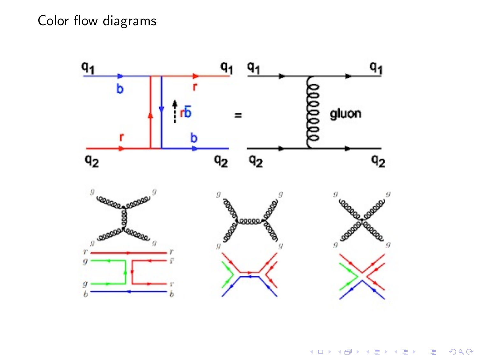Color flow diagrams

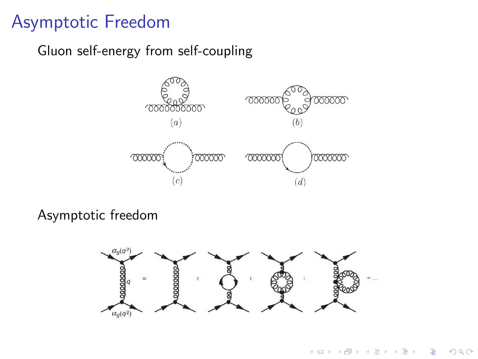### Asymptotic Freedom

Gluon self-energy from self-coupling



Asymptotic freedom



 $4$  ロ )  $4$  何 )  $4$  ミ )  $4$   $3$  )

 $\mathbb{B}$ 

 $299$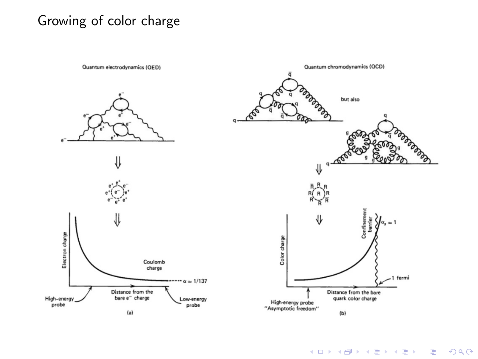#### Growing of color charge



K ロ ▶ K 레 ▶ K 코 ▶ K 코 ▶ 『코 │ ◆ 9 Q Q ↓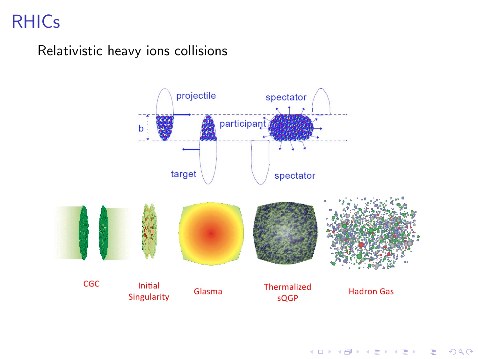# RHICs

Relativistic heavy ions collisions



イロト 不優 トイミト イヨト 一番  $2990$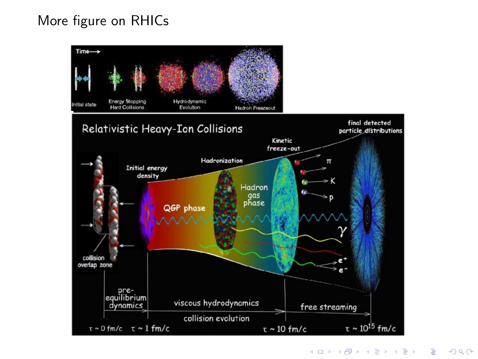#### More figure on RHICs



K ロ ▶ K 個 ▶ K 할 ▶ K 할 ▶ 이 할 → 9 Q Q →